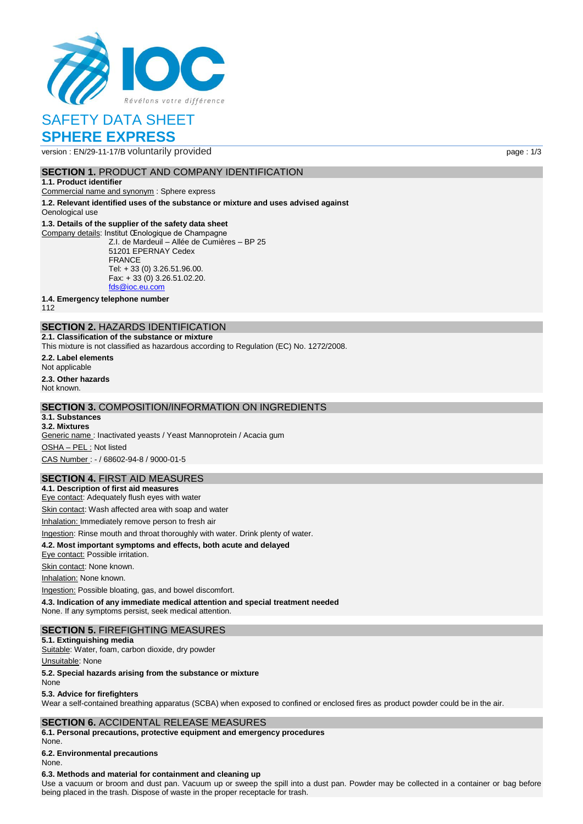

# SAFETY DATA SHEET **SPHERE EXPRESS**

version : EN/29-11-17/B voluntarily provided page : 1/3

## **SECTION 1. PRODUCT AND COMPANY IDENTIFICATION**

#### **1.1. Product identifier**

Commercial name and synonym : Sphere express

**1.2. Relevant identified uses of the substance or mixture and uses advised against** Oenological use

### **1.3. Details of the supplier of the safety data sheet**

Company details: Institut Œnologique de Champagne Z.I. de Mardeuil – Allée de Cumières – BP 25 51201 EPERNAY Cedex FRANCE Tel: + 33 (0) 3.26.51.96.00. Fax: + 33 (0) 3.26.51.02.20. [fds@ioc.eu.com](mailto:fds@ioc.eu.com)

**1.4. Emergency telephone number**

112

# **SECTION 2.** HAZARDS IDENTIFICATION

**2.1. Classification of the substance or mixture**

This mixture is not classified as hazardous according to Regulation (EC) No. 1272/2008.

**2.2. Label elements** Not applicable **2.3. Other hazards**

Not known.

## **SECTION 3.** COMPOSITION/INFORMATION ON INGREDIENTS

#### **3.1. Substances 3.2. Mixtures**

Generic name : Inactivated yeasts / Yeast Mannoprotein / Acacia gum OSHA – PEL : Not listed CAS Number : - / 68602-94-8 / 9000-01-5

# **SECTION 4.** FIRST AID MEASURES

**4.1. Description of first aid measures** Eye contact: Adequately flush eyes with water

Skin contact: Wash affected area with soap and water

Inhalation: Immediately remove person to fresh air

Ingestion: Rinse mouth and throat thoroughly with water. Drink plenty of water.

#### **4.2. Most important symptoms and effects, both acute and delayed**

Eye contact: Possible irritation.

Skin contact: None known.

Inhalation: None known.

Ingestion: Possible bloating, gas, and bowel discomfort.

**4.3. Indication of any immediate medical attention and special treatment needed** None. If any symptoms persist, seek medical attention.

### **SECTION 5.** FIREFIGHTING MEASURES

#### **5.1. Extinguishing media**

Suitable: Water, foam, carbon dioxide, dry powder

#### Unsuitable: None

**5.2. Special hazards arising from the substance or mixture**

# None

**5.3. Advice for firefighters**

Wear a self-contained breathing apparatus (SCBA) when exposed to confined or enclosed fires as product powder could be in the air.

### **SECTION 6.** ACCIDENTAL RELEASE MEASURES

**6.1. Personal precautions, protective equipment and emergency procedures**

None.

**6.2. Environmental precautions**

# None.

#### **6.3. Methods and material for containment and cleaning up**

Use a vacuum or broom and dust pan. Vacuum up or sweep the spill into a dust pan. Powder may be collected in a container or bag before being placed in the trash. Dispose of waste in the proper receptacle for trash.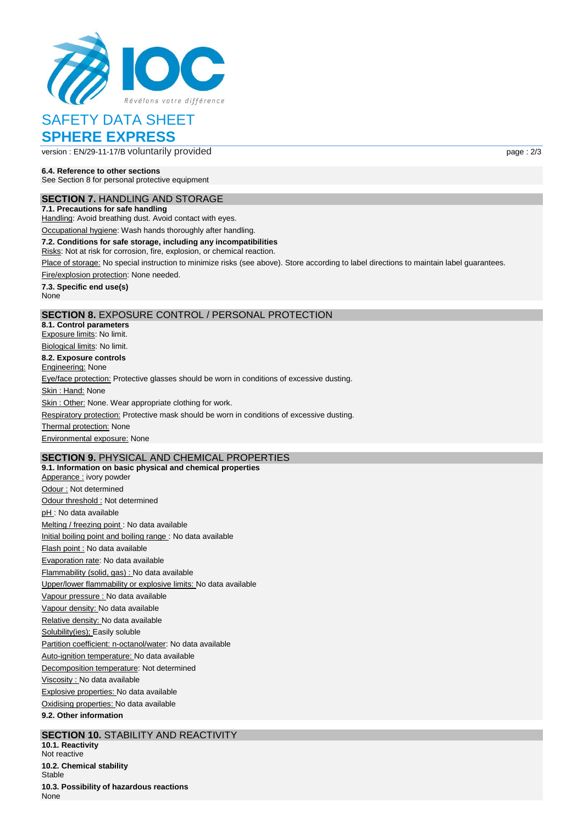

# SAFETY DATA SHEET **SPHERE EXPRESS**

version : EN/29-11-17/B voluntarily provided page : 2/3

**6.4. Reference to other sections** See Section 8 for personal protective equipment

**SECTION 7.** HANDLING AND STORAGE

**7.1. Precautions for safe handling** Handling: Avoid breathing dust. Avoid contact with eyes.

Occupational hygiene: Wash hands thoroughly after handling.

**7.2. Conditions for safe storage, including any incompatibilities**

Risks: Not at risk for corrosion, fire, explosion, or chemical reaction.

Place of storage: No special instruction to minimize risks (see above). Store according to label directions to maintain label guarantees.

Fire/explosion protection: None needed.

**7.3. Specific end use(s)** None

# **SECTION 8.** EXPOSURE CONTROL / PERSONAL PROTECTION

**8.1. Control parameters** Exposure limits: No limit. Biological limits: No limit.

**8.2. Exposure controls** Engineering: None

Eye/face protection: Protective glasses should be worn in conditions of excessive dusting.

Skin: Hand: None

Skin : Other: None. Wear appropriate clothing for work.

Respiratory protection: Protective mask should be worn in conditions of excessive dusting.

Thermal protection: None Environmental exposure: None

# **SECTION 9.** PHYSICAL AND CHEMICAL PROPERTIES

**9.1. Information on basic physical and chemical properties** Apperance : ivory powder Odour : Not determined Odour threshold : Not determined pH : No data available Melting / freezing point : No data available Initial boiling point and boiling range : No data available Flash point : No data available Evaporation rate: No data available Flammability (solid, gas) : No data available Upper/lower flammability or explosive limits: No data available Vapour pressure : No data available Vapour density: No data available Relative density: No data available Solubility(ies); Easily soluble Partition coefficient: n-octanol/water: No data available Auto-ignition temperature: No data available Decomposition temperature: Not determined Viscosity : No data available Explosive properties: No data available Oxidising properties: No data available

**9.2. Other information**

# **SECTION 10.** STABILITY AND REACTIVITY

**10.1. Reactivity** Not reactive **10.2. Chemical stability** Stable **10.3. Possibility of hazardous reactions** None